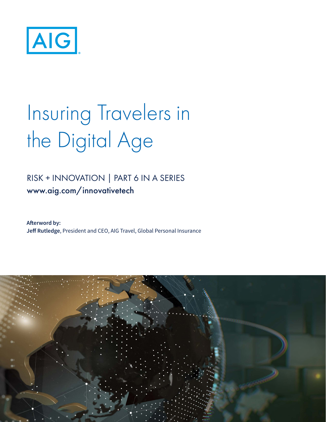

# Insuring Travelers in the Digital Age

## RISK + INNOVATION | PART 6 IN A SERIES www.aig.com/innovativetech

**Afterword by: Jeff Rutledge**, President and CEO, AIG Travel, Global Personal Insurance

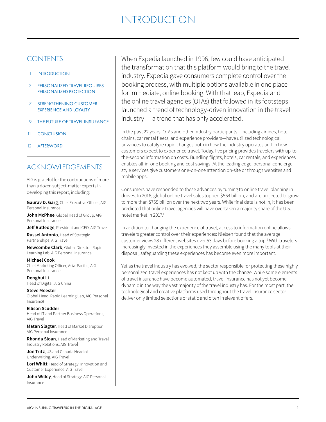- **INTRODUCTION**
- 3 PERSONALIZED TRAVEL REQUIRES PERSONALIZED PROTECTION
- 7 STRENGTHENING CUSTOMER EXPERIENCE AND LOYALTY
- 9 THE FUTURE OF TRAVEL INSURANCE
- 11 CONCLUSION
- 12 AFTERWORD

## ACKNOWLEDGEMENTS

AIG is grateful for the contributions of more than a dozen subject-matter experts in developing this report, including:

**Gaurav D. Garg**, Chief Executive Officer, AIG Personal Insurance

**John McPhee**, Global Head of Group, AIG Personal Insurance

**Jeff Rutledge**, President and CEO, AIG Travel

**Russel Antonio**, Head of Strategic Partnerships, AIG Travel

**Newcombe Clark**, Global Director, Rapid Learning Lab, AIG Personal Insurance

**Michael Cook** Chief Marketing Officer, Asia-Pacific, AIG Personal Insurance

**Denghui Li** Head of Digital, AIG China

**Steve Meester** Global Head, Rapid Learning Lab, AIG Personal Insurance

**Ellison Scudder** Head of IT and Partner Business Operations, AIG Travel

**Matan Slagter**, Head of Market Disruption, AIG Personal Insurance

**Rhonda Sloan**, Head of Marketing and Travel Industry Relations, AIG Travel

**Joe Tritz**, US and Canada Head of Underwriting, AIG Travel

**Lori Whitt**, Head of Strategy, Innovation and Customer Experience, AIG Travel

**John Willey**, Head of Strategy, AIG Personal Insurance

CONTENTS When Expedia launched in 1996, few could have anticipated the transformation that this platform would bring to the travel industry. Expedia gave consumers complete control over the booking process, with multiple options available in one place for immediate, online booking. With that leap, Expedia and the online travel agencies (OTAs) that followed in its footsteps launched a trend of technology-driven innovation in the travel industry — a trend that has only accelerated.

> In the past 22 years, OTAs and other industry participants—including airlines, hotel chains, car rental fleets, and experience providers—have utilized technological advances to catalyze rapid changes both in how the industry operates and in how customers expect to experience travel. Today, live pricing provides travelers with up-tothe-second information on costs. Bundling flights, hotels, car rentals, and experiences enables all-in-one booking and cost savings. At the leading edge, personal conciergestyle services give customers one-on-one attention on-site or through websites and mobile apps.

> Consumers have responded to these advances by turning to online travel planning in droves. In 2016, global online travel sales topped \$564 billion, and are projected to grow to more than \$755 billion over the next two years. While final data is not in, it has been predicted that online travel agencies will have overtaken a majority share of the U.S. hotel market in 2017.<sup>1</sup>

> In addition to changing the experience of travel, access to information online allows travelers greater control over their experiences: Nielsen found that the average customer views 28 different websites over 53 days before booking a trip.<sup>2</sup> With travelers increasingly invested in the experiences they assemble using the many tools at their disposal, safeguarding these experiences has become even more important.

> Yet as the travel industry has evolved, the sector responsible for protecting these highly personalized travel experiences has not kept up with the change. While some elements of travel insurance have become automated, travel insurance has not yet become dynamic in the way the vast majority of the travel industry has. For the most part, the technological and creative platforms used throughout the travel insurance sector deliver only limited selections of static and often irrelevant offers.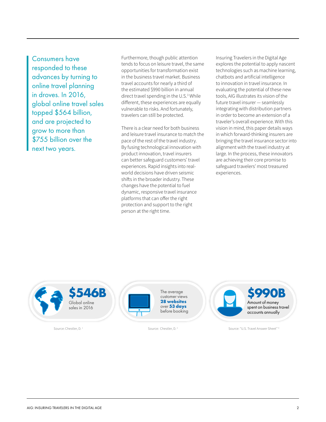Consumers have responded to these advances by turning to online travel planning in droves. In 2016, global online travel sales topped \$564 billion, and are projected to grow to more than \$755 billion over the next two years.

Furthermore, though public attention tends to focus on leisure travel, the same opportunities for transformation exist in the business travel market. Business travel accounts for nearly a third of the estimated \$990 billion in annual direct travel spending in the U.S.<sup>3</sup> While different, these experiences are equally vulnerable to risks. And fortunately, travelers can still be protected.

There is a clear need for both business and leisure travel insurance to match the pace of the rest of the travel industry. By fusing technological innovation with product innovation, travel insurers can better safeguard customers' travel experiences. Rapid insights into realworld decisions have driven seismic shifts in the broader industry. These changes have the potential to fuel dynamic, responsive travel insurance platforms that can offer the right protection and support to the right person at the right time.

Insuring Travelers in the Digital Age explores the potential to apply nascent technologies such as machine learning, chatbots and artificial intelligence to innovation in travel insurance. In evaluating the potential of these new tools, AIG illustrates its vision of the future travel insurer — seamlessly integrating with distribution partners in order to become an extension of a traveler's overall experience. With this vision in mind, this paper details ways in which forward-thinking insurers are bringing the travel insurance sector into alignment with the travel industry at large. In the process, these innovators are achieving their core promise to safeguard travelers' most treasured experiences.

Global online sales in 2016 \$546B



customer views **28 websites** over **53 days**  before booking



 $\frac{S_{\text{OUITC}}}{S_{\text{OUITC}}}$  Chestler, D. 2 Source: Chestler, D. 2 Source: "U.S. Travel Answer Sheet" 3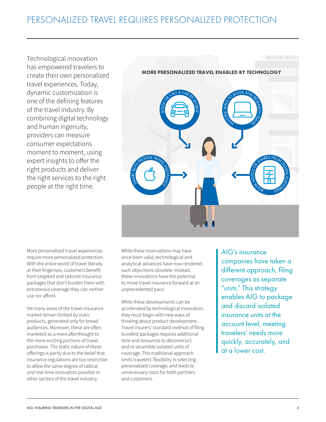Technological innovation has empowered travelers to create their own personalized travel experiences. Today, dynamic customization is one of the defining features of the travel industry. By combining digital technology and human ingenuity, providers can measure consumer expectations moment to moment, using expert insights to offer the right products and deliver the right services to the right people at the right time.



More personalized travel experiences require more personalized protection. With the entire world of travel literally at their fingertips, customers benefit from targeted and tailored insurance packages that don't burden them with extraneous coverage they can neither use nor afford.

Yet many areas of the travel insurance market remain limited by static products, generated only for broad audiences. Moreover, these are often marketed as a mere afterthought to the more exciting portions of travel purchases. The static nature of these offerings is partly due to the belief that insurance regulations are too restrictive to allow the same degree of radical and real-time innovation possible in other sectors of the travel industry.

While these reservations may have once been valid, technological and analytical advances have now rendered such objections obsolete. Instead, these innovations have the potential to move travel insurance forward at an unprecedented pace.

While these developments can be accelerated by technological innovation, they must begin with new ways of thinking about product development. Travel insurers' standard method of filing bundled packages requires additional time and resources to deconstruct and re-assemble isolated units of coverage. This traditional approach limits travelers' flexibility in selecting personalized coverage, and leads to unnecessary costs for both partners and customers.

AIG's insurance companies have taken a different approach, filing coverages as separate "units." This strategy enables AIG to package and discard isolated insurance units at the account level, meeting travelers' needs more quickly, accurately, and at a lower cost.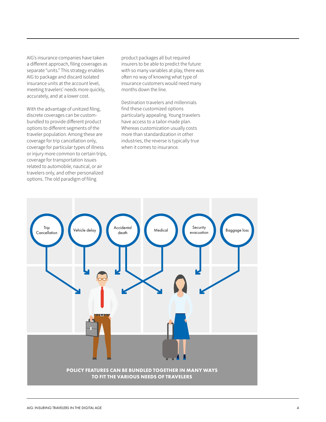AIG's insurance companies have taken a different approach, filing coverages as separate "units." This strategy enables AIG to package and discard isolated insurance units at the account level, meeting travelers' needs more quickly, accurately, and at a lower cost.

With the advantage of unitized filing, discrete coverages can be custombundled to provide different product options to different segments of the traveler population. Among these are coverage for trip cancellation only, coverage for particular types of illness or injury more common to certain trips, coverage for transportation issues related to automobile, nautical, or air travelers only, and other personalized options. The old paradigm of filing

product packages all but required insurers to be able to predict the future: with so many variables at play, there was often no way of knowing what type of insurance customers would need many months down the line.

Destination travelers and millennials find these customized options particularly appealing. Young travelers have access to a tailor-made plan. Whereas customization usually costs more than standardization in other industries, the reverse is typically true when it comes to insurance.

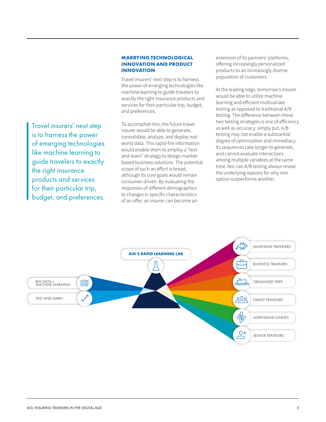#### **MARRYING TECHNOLOGICAL INNOVATION AND PRODUCT INNOVATION**

Travel insurers' next step is to harness the power of emerging technologies like machine learning to guide travelers to exactly the right insurance products and services for their particular trip, budget, and preferences.

Travel insurers' next step is to harness the power of emerging technologies like machine learning to guide travelers to exactly the right insurance products and services for their particular trip, budget, and preferences.

To accomplish this, the future travel insurer would be able to generate, consolidate, analyze, and deploy realworld data. This rapid-fire information would enable them to employ a "testand-learn" strategy to design marketbased business solutions. The potential scope of such an effort is broad, although its core goals would remain consumer-driven. By evaluating the responses of different demographics to changes in specific characteristics of an offer, an insurer can become an

extension of its partners' platforms, offering increasingly personalized products to an increasingly diverse population of customers.

At the leading edge, tomorrow's insurer would be able to utilize machine learning and efficient multivariate testing as opposed to traditional A/B testing. The difference between these two testing strategies is one of efficiency as well as accuracy: simply put, A/B testing may not enable a substantial degree of optimization and immediacy. Its sequences take longer to generate, and cannot evaluate interactions among multiple variables at the same time. Nor can A/B testing always reveal the underlying reasons for why one option outperforms another.

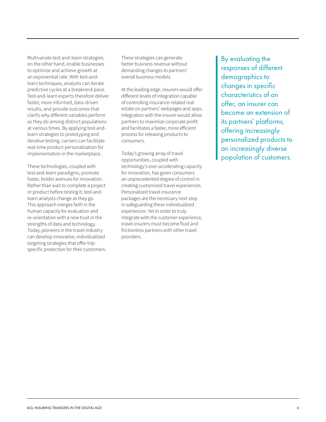Multivariate test-and-learn strategies, on the other hand, enable businesses to optimize and achieve growth at an exponential rate. With test-andlearn techniques, analysts can iterate predictive cycles at a breakneck pace. Test-and-learn experts therefore deliver faster, more informed, data-driven results, and provide outcomes that clarify why different variables perform as they do among distinct populations at various times. By applying test-andlearn strategies to prototyping and iterative testing, carriers can facilitate real-time product personalization for implementation in the marketplace.

These technologies, coupled with test-and-learn paradigms, promote faster, bolder avenues for innovation. Rather than wait to complete a project or product before testing it, test-andlearn analysts change as they go. This approach merges faith in the human capacity for evaluation and re-orientation with a new trust in the strengths of data and technology. Today, pioneers in the travel industry can develop innovative, individualized targeting strategies that offer tripspecific protection for their customers. These strategies can generate better business revenue without demanding changes to partners' overall business models.

At the leading edge, insurers would offer different levels of integration capable of controlling insurance-related real estate on partners' webpages and apps. Integration with the insurer would allow partners to maximize corporate profit and facilitates a faster, more efficient process for releasing products to consumers.

Today's growing array of travel opportunities, coupled with technology's ever-accelerating capacity for innovation, has given consumers an unprecedented degree of control in creating customized travel experiences. Personalized travel insurance packages are the necessary next step in safeguarding these individualized experiences. Yet in order to truly integrate with the customer experience, travel insurers must become fluid and frictionless partners with other travel providers.

By evaluating the responses of different demographics to changes in specific characteristics of an offer, an insurer can become an extension of its partners' platforms, offering increasingly personalized products to an increasingly diverse population of customers.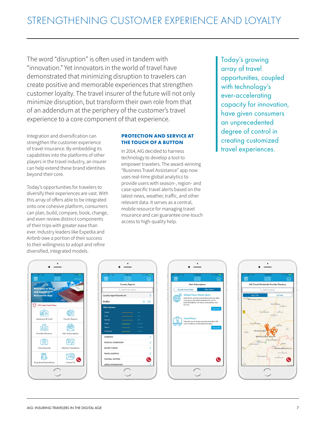The word "disruption" is often used in tandem with "innovation." Yet innovators in the world of travel have demonstrated that minimizing disruption to travelers can create positive and memorable experiences that strengthen customer loyalty. The travel insurer of the future will not only minimize disruption, but transform their own role from that of an addendum at the periphery of the customer's travel experience to a core component of that experience.

Integration and diversification can strengthen the customer experience of travel insurance. By embedding its capabilities into the platforms of other players in the travel industry, an insurer can help extend these brand identities beyond their core.

Today's opportunities for travelers to diversify their experiences are vast. With this array of offers able to be integrated onto one cohesive platform, consumers can plan, build, compare, book, change, and even review distinct components of their trips with greater ease than ever. Industry leaders like Expedia and Airbnb owe a portion of their success to their willingness to adopt and refine diversified, integrated models.

### **PROTECTION AND SERVICE AT THE TOUCH OF A BUTTON**

In 2014, AIG decided to harness technology to develop a tool to empower travelers. The award-winning "Business Travel Assistance" app now uses real-time global analytics to provide users with season-, region- and case-specific travel alerts based on the latest news, weather, traffic, and other relevant data. It serves as a central, mobile resource for managing travel insurance and can guarantee one-touch access to high-quality help.

Today's growing array of travel opportunities, coupled with technology's ever-accelerating capacity for innovation, have given consumers an unprecedented degree of control in creating customized travel experiences.







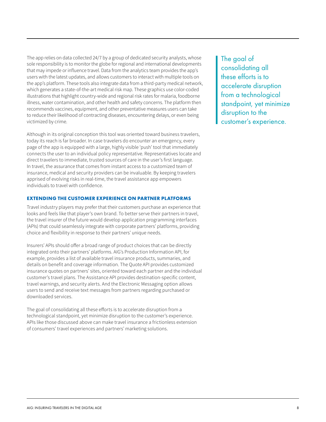The app relies on data collected 24/7 by a group of dedicated security analysts, whose sole responsibility is to monitor the globe for regional and international developments that may impede or influence travel. Data from the analytics team provides the app's users with the latest updates, and allows customers to interact with multiple tools on the app's platform. These tools also integrate data from a third-party medical network, which generates a state-of-the-art medical risk map. These graphics use color-coded illustrations that highlight country-wide and regional risk rates for malaria, foodborne illness, water contamination, and other health and safety concerns. The platform then recommends vaccines, equipment, and other preventative measures users can take to reduce their likelihood of contracting diseases, encountering delays, or even being victimized by crime.

Although in its original conception this tool was oriented toward business travelers, today its reach is far broader. In case travelers do encounter an emergency, every page of the app is equipped with a large, highly visible 'push' tool that immediately connects the user to an individual policy representative. Representatives locate and direct travelers to immediate, trusted sources of care in the user's first language. In travel, the assurance that comes from instant access to a customized team of insurance, medical and security providers can be invaluable. By keeping travelers apprised of evolving risks in real-time, the travel assistance app empowers individuals to travel with confidence.

#### **EXTENDING THE CUSTOMER EXPERIENCE ON PARTNER PLATFORMS**

Travel industry players may prefer that their customers purchase an experience that looks and feels like that player's own brand. To better serve their partners in travel, the travel insurer of the future would develop application programming interfaces (APIs) that could seamlessly integrate with corporate partners' platforms, providing choice and flexibility in response to their partners' unique needs.

Insurers' APIs should offer a broad range of product choices that can be directly integrated onto their partners' platforms. AIG's Production Information API, for example, provides a list of available travel insurance products, summaries, and details on benefit and coverage information. The Quote API provides customized insurance quotes on partners' sites, oriented toward each partner and the individual customer's travel plans. The Assistance API provides destination-specific content, travel warnings, and security alerts. And the Electronic Messaging option allows users to send and receive text messages from partners regarding purchased or downloaded services.

The goal of consolidating all these efforts is to accelerate disruption from a technological standpoint, yet minimize disruption to the customer's experience. APIs like those discussed above can make travel insurance a frictionless extension of consumers' travel experiences and partners' marketing solutions.

The goal of consolidating all these efforts is to accelerate disruption from a technological standpoint, yet minimize disruption to the customer's experience.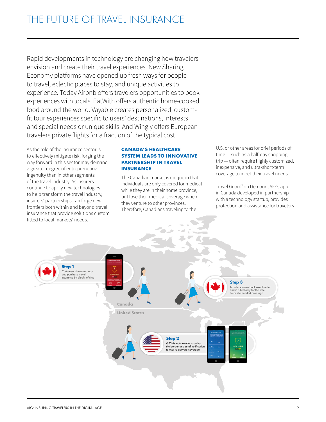Rapid developments in technology are changing how travelers envision and create their travel experiences. New Sharing Economy platforms have opened up fresh ways for people to travel, eclectic places to stay, and unique activities to experience. Today Airbnb offers travelers opportunities to book experiences with locals. EatWith offers authentic home-cooked food around the world. Vayable creates personalized, customfit tour experiences specific to users' destinations, interests and special needs or unique skills. And Wingly offers European travelers private flights for a fraction of the typical cost.

As the role of the insurance sector is to effectively mitigate risk, forging the way forward in this sector may demand a greater degree of entrepreneurial ingenuity than in other segments of the travel industry. As insurers continue to apply new technologies to help transform the travel industry, insurers' partnerships can forge new frontiers both within and beyond travel insurance that provide solutions custom fitted to local markets' needs.

#### **CANADA'S HEALTHCARE SYSTEM LEADS TO INNOVATIVE PARTNERSHIP IN TRAVEL INSURANCE**

The Canadian market is unique in that individuals are only covered for medical while they are in their home province, but lose their medical coverage when they venture to other provinces. Therefore, Canadians traveling to the

U.S. or other areas for brief periods of time — such as a half-day shopping trip — often require highly customized, inexpensive, and ultra-short-term coverage to meet their travel needs.

Travel Guard® on Demand, AIG's app in Canada developed in partnership with a technology startup, provides protection and assistance for travelers

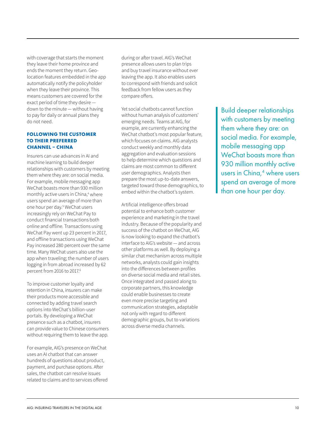with coverage that starts the moment they leave their home province and ends the moment they return. Geolocation features embedded in the app automatically notify the policyholder when they leave their province. This means customers are covered for the exact period of time they desire down to the minute — without having to pay for daily or annual plans they do not need.

#### **FOLLOWING THE CUSTOMER TO THEIR PREFERRED CHANNEL – CHINA**

Insurers can use advances in AI and machine learning to build deeper relationships with customers by meeting them where they are: on social media. For example, mobile messaging app WeChat boasts more than 930 million monthly active users in China,<sup>4</sup> where users spend an average of more than one hour per day.5 WeChat users increasingly rely on WeChat Pay to conduct financial transactions both online and offline. Transactions using WeChat Pay went up 23 percent in 2017, and offline transactions using WeChat Pay increased 280 percent over the same time. Many WeChat users also use the app when traveling; the number of users logging in from abroad increased by 62 percent from 2016 to 2017.6

To improve customer loyalty and retention in China, insurers can make their products more accessible and connected by adding travel search options into WeChat's billion-user portals. By developing a WeChat presence such as a chatbot, insurers can provide value to Chinese consumers without requiring them to leave the app.

For example, AIG's presence on WeChat uses an AI chatbot that can answer hundreds of questions about product, payment, and purchase options. After sales, the chatbot can resolve issues related to claims and to services offered

during or after travel. AIG's WeChat presence allows users to plan trips and buy travel insurance without ever leaving the app. It also enables users to correspond with friends and solicit feedback from fellow users as they compare offers.

Yet social chatbots cannot function without human analysis of customers' emerging needs. Teams at AIG, for example, are currently enhancing the WeChat chatbot's most popular feature, which focuses on claims. AIG analysts conduct weekly and monthly data aggregation and evaluation sessions to help determine which questions and claims are most common to different user demographics. Analysts then prepare the most up-to-date answers, targeted toward those demographics, to embed within the chatbot's system.

Artificial intelligence offers broad potential to enhance both customer experience and marketing in the travel industry. Because of the popularity and success of the chatbot on WeChat, AIG is now looking to expand the chatbot's interface to AIG's website — and across other platforms as well. By deploying a similar chat mechanism across multiple networks, analysts could gain insights into the differences between profiles on diverse social media and retail sites. Once integrated and passed along to corporate partners, this knowledge could enable businesses to create even more precise targeting and communication strategies, adaptable not only with regard to different demographic groups, but to variations across diverse media channels.

Build deeper relationships with customers by meeting them where they are: on social media. For example, mobile messaging app WeChat boasts more than 930 million monthly active users in China,<sup>4</sup> where users spend an average of more than one hour per day.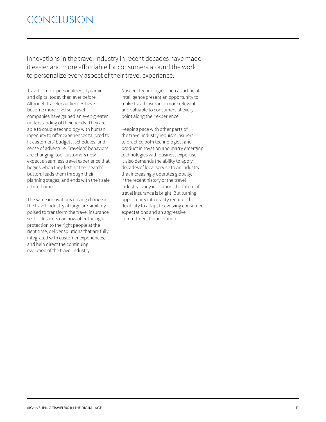Innovations in the travel industry in recent decades have made it easier and more affordable for consumers around the world to personalize every aspect of their travel experience.

Travel is more personalized, dynamic and digital today than ever before. Although traveler audiences have become more diverse, travel companies have gained an even greater understanding of their needs. They are able to couple technology with human ingenuity to offer experiences tailored to fit customers' budgets, schedules, and sense of adventure. Travelers' behaviors are changing, too: customers now expect a seamless travel experience that begins when they first hit the "search" button, leads them through their planning stages, and ends with their safe return home.

The same innovations driving change in the travel industry at large are similarly poised to transform the travel insurance sector. Insurers can now offer the right protection to the right people at the right time, deliver solutions that are fully integrated with customer experiences, and help direct the continuing evolution of the travel industry.

Nascent technologies such as artificial intelligence present an opportunity to make travel insurance more relevant and valuable to consumers at every point along their experience.

Keeping pace with other parts of the travel industry requires insurers to practice both technological and product innovation and marry emerging technologies with business expertise. It also demands the ability to apply decades of local service to an industry that increasingly operates globally. If the recent history of the travel industry is any indication, the future of travel insurance is bright. But turning opportunity into reality requires the flexibility to adapt to evolving consumer expectations and an aggressive commitment to innovation.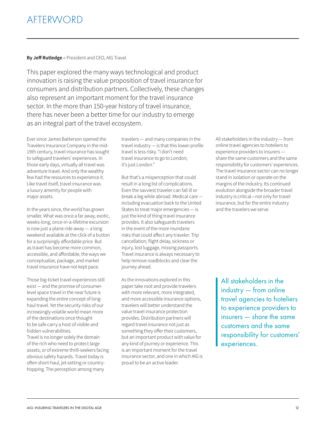## AFTERWORD

### **By Jeff Rutledge –** President and CEO, AIG Travel

This paper explored the many ways technological and product innovation is raising the value proposition of travel insurance for consumers and distribution partners. Collectively, these changes also represent an important moment for the travel insurance sector. In the more than 150-year history of travel insurance, there has never been a better time for our industry to emerge as an integral part of the travel ecosystem.

Ever since James Batterson opened the Travelers Insurance Company in the mid-19th century, travel insurance has sought to safeguard travelers' experiences. In those early days, virtually all travel was adventure travel. And only the wealthy few had the resources to experience it. Like travel itself, travel insurance was a luxury amenity for people with major assets.

In the years since, the world has grown smaller. What was once a far away, exotic, weeks-long, once-in-a-lifetime excursion is now just a plane ride away — a long weekend available at the click of a button for a surprisingly affordable price. But as travel has become more common, accessible, and affordable, the ways we conceptualize, package, and market travel insurance have not kept pace.

Those big-ticket travel experiences still exist — and the promise of consumerlevel space travel in the near future is expanding the entire concept of longhaul travel. Yet the security risks of our increasingly volatile world mean more of the destinations once thought to be safe carry a host of visible and hidden vulnerabilities. Travel is no longer solely the domain of the rich who need to protect large assets, or of extreme thrill-seekers facing

obvious safety hazards. Travel today is often short-haul, jet-setting or countryhopping. The perception among many

travelers — and many companies in the travel industry — is that this lower-profile travel is less risky. "I don't need travel insurance to go to London; it's just London."

But that's a misperception that could result in a long list of complications. Even the savviest traveler can fall ill or break a leg while abroad. Medical care including evacuation back to the United States to treat major emergencies — is just the kind of thing travel insurance provides. It also safeguards travelers in the event of the more mundane risks that could affect any traveler: Trip cancellation, flight delay, sickness or injury, lost luggage, missing passports. Travel insurance is always necessary to help remove roadblocks and clear the journey ahead.

As the innovations explored in this paper take root and provide travelers with more relevant, more integrated, and more accessible insurance options, travelers will better understand the value travel insurance protection provides. Distribution partners will regard travel insurance not just as something they offer their customers, but an important product with value for any kind of journey or experience. This is an important moment for the travel insurance sector, and one in which AIG is proud to be an active leader.

All stakeholders in the industry — from online travel agencies to hoteliers to experience providers to insurers share the same customers and the same responsibility for customers' experiences. The travel insurance sector can no longer stand in isolation or operate on the margins of the industry. Its continued evolution alongside the broader travel industry is critical—not only for travel insurance, but for the entire industry and the travelers we serve.

All stakeholders in the industry — from online travel agencies to hoteliers to experience providers to insurers — share the same customers and the same responsibility for customers' experiences.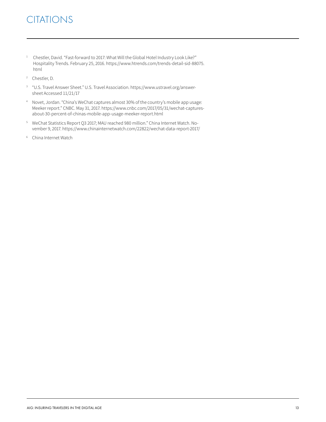## **CITATIONS**

- <sup>1</sup> Chestler, David. "Fast-forward to 2017: What Will the Global Hotel Industry Look Like?" Hospitality Trends. February 25, 2016. https://www.htrends.com/trends-detail-sid-88075. html
- <sup>2</sup> Chestler, D.
- 3 "U.S. Travel Answer Sheet." U.S. Travel Association. https://www.ustravel.org/answersheet Accessed 11/21/17
- 4 Novet, Jordan. "China's WeChat captures almost 30% of the country's mobile app usage: Meeker report." CNBC. May 31, 2017. https://www.cnbc.com/2017/05/31/wechat-capturesabout-30-percent-of-chinas-mobile-app-usage-meeker-report.html
- 5 WeChat Statistics Report Q3 2017; MAU reached 980 million." China Internet Watch. November 9, 2017. https://www.chinainternetwatch.com/22822/wechat-data-report-2017/
- <sup>6</sup> China Internet Watch